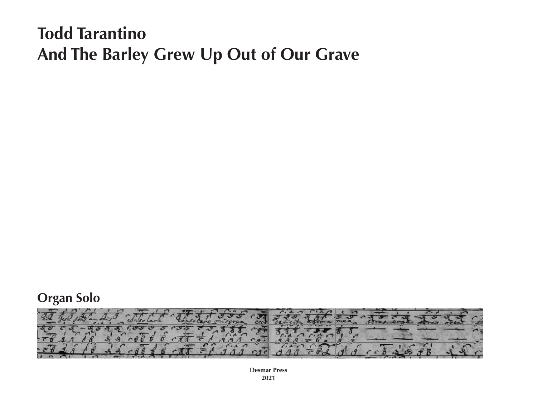# **Todd Tarantino And The Barley Grew Up Out of Our Grave**





**Desmar Press 2021**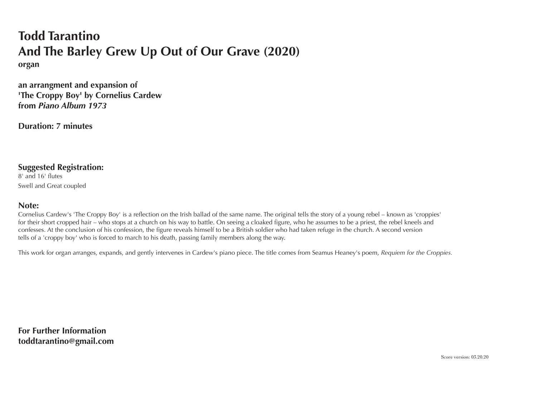### **Todd Tarantino And The Barley Grew Up Out of Our Grave (2020) organ**

**an arrangment and expansion of 'The Croppy Boy' by Cornelius Cardew from** *Piano Album 1973*

**Duration: 7 minutes**

#### **Suggested Registration:**

8' and 16' flutes Swell and Great coupled

#### **Note:**

Cornelius Cardew's 'The Croppy Boy' is a reflection on the Irish ballad of the same name. The original tells the story of a young rebel – known as 'croppies' for their short cropped hair – who stops at a church on his way to battle. On seeing a cloaked figure, who he assumes to be a priest, the rebel kneels and confesses. At the conclusion of his confession, the figure reveals himself to be a British soldier who had taken refuge in the church. A second version tells of a 'croppy boy' who is forced to march to his death, passing family members along the way.

This work for organ arranges, expands, and gently intervenes in Cardew's piano piece. The title comes from Seamus Heaney's poem, *Requiem for the Croppies.*

**For Further Information toddtarantino@gmail.com**

Score version: 03.20.20